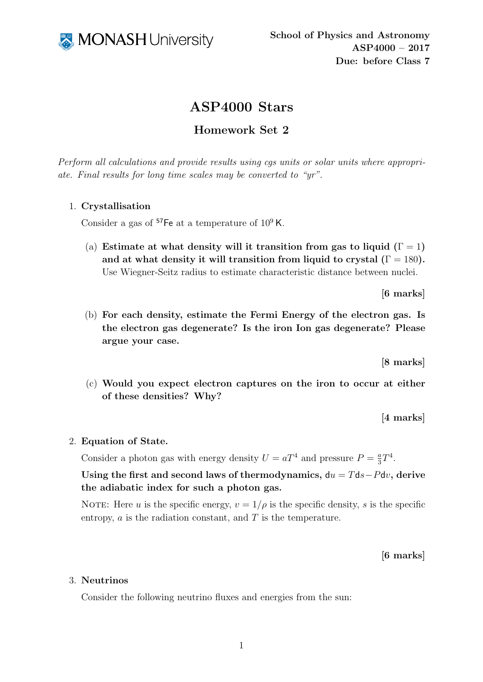

# ASP4000 Stars

# Homework Set 2

Perform all calculations and provide results using cgs units or solar units where appropriate. Final results for long time scales may be converted to "yr".

## 1. Crystallisation

Consider a gas of  ${}^{57}$ Fe at a temperature of  $10^9$  K.

(a) Estimate at what density will it transition from gas to liquid ( $\Gamma = 1$ ) and at what density it will transition from liquid to crystal  $(1) = 180$ . Use Wiegner-Seitz radius to estimate characteristic distance between nuclei.

[6 marks]

(b) For each density, estimate the Fermi Energy of the electron gas. Is the electron gas degenerate? Is the iron Ion gas degenerate? Please argue your case.

[8 marks]

(c) Would you expect electron captures on the iron to occur at either of these densities? Why?

[4 marks]

### 2. Equation of State.

Consider a photon gas with energy density  $U = aT^4$  and pressure  $P = \frac{a}{3}$  $rac{a}{3}T^4$ .

Using the first and second laws of thermodynamics,  $du = Tds-Pdv$ , derive the adiabatic index for such a photon gas.

NOTE: Here u is the specific energy,  $v = 1/\rho$  is the specific density, s is the specific entropy,  $\alpha$  is the radiation constant, and  $T$  is the temperature.

## [6 marks]

### 3. Neutrinos

Consider the following neutrino fluxes and energies from the sun: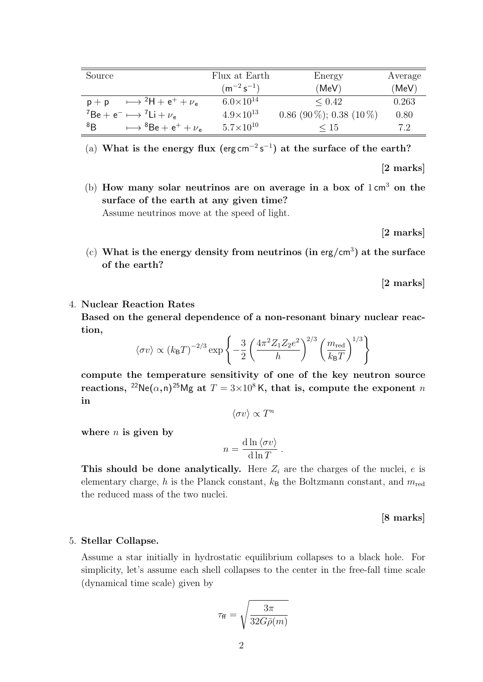| Source                                          | Flux at Earth      | Energy                     | Average |
|-------------------------------------------------|--------------------|----------------------------|---------|
|                                                 | $(m^{-2} s^{-1})$  | (MeV)                      | (MeV)   |
| $\mapsto {}^{2}H + e^{+} + \nu_{e}$<br>$p + p$  | $6.0\times10^{14}$ | ${}_{\leq 0.42}$           | 0.263   |
| ${}^{7}Be + e^{-} \longmapsto {}^{7}Li + \nu_e$ | $4.9\times10^{13}$ | $0.86$ (90 %); 0.38 (10 %) | 0.80    |
| 8B<br>$\mapsto {}^{8}Be + e^{+} + \nu_{e}$      | $5.7\times10^{10}$ | $\leq 15$                  | 7.2     |

(a) What is the energy flux (erg cm<sup>-2</sup>s<sup>-1</sup>) at the surface of the earth?

[2 marks]

(b) How many solar neutrinos are on average in a box of  $1 \text{ cm}^3$  on the surface of the earth at any given time? Assume neutrinos move at the speed of light.

[2 marks]

(c) What is the energy density from neutrinos (in erg/cm<sup>3</sup>) at the surface of the earth?

[2 marks]

#### 4. Nuclear Reaction Rates

Based on the general dependence of a non-resonant binary nuclear reaction,

$$
\langle \sigma v \rangle \propto (k_{\text{B}}T)^{-2/3} \exp \left\{-\frac{3}{2} \left(\frac{4\pi^2 Z_1 Z_2 e^2}{h}\right)^{2/3} \left(\frac{m_{\text{red}}}{k_{\text{B}}T}\right)^{1/3}\right\}
$$

compute the temperature sensitivity of one of the key neutron source reactions, <sup>22</sup>Ne( $\alpha$ ,n)<sup>25</sup>Mg at  $T = 3 \times 10^8$ K, that is, compute the exponent n in

 $\langle \sigma v \rangle \propto T^n$ 

where  $n$  is given by

$$
n = \frac{\mathrm{d}\ln \langle \sigma v \rangle}{\mathrm{d}\ln T}.
$$

This should be done analytically. Here  $Z_i$  are the charges of the nuclei, e is elementary charge, h is the Planck constant,  $k_B$  the Boltzmann constant, and  $m_{\text{red}}$ the reduced mass of the two nuclei.

[8 marks]

#### 5. Stellar Collapse.

Assume a star initially in hydrostatic equilibrium collapses to a black hole. For simplicity, let's assume each shell collapses to the center in the free-fall time scale (dynamical time scale) given by

$$
\tau_{\rm ff} = \sqrt{\frac{3\pi}{32G\bar{\rho}(m)}}
$$